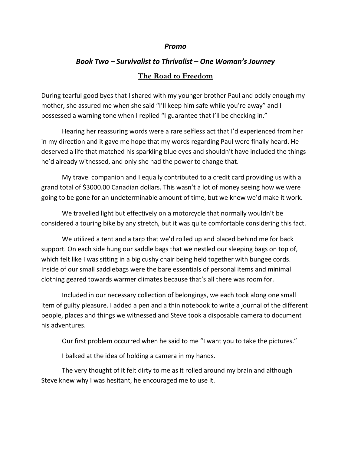## *Promo*

## *Book Two – Survivalist to Thrivalist – One Woman's Journey* **The Road to Freedom**

During tearful good byes that I shared with my younger brother Paul and oddly enough my mother, she assured me when she said "I'll keep him safe while you're away" and I possessed a warning tone when I replied "I guarantee that I'll be checking in."

Hearing her reassuring words were a rare selfless act that I'd experienced from her in my direction and it gave me hope that my words regarding Paul were finally heard. He deserved a life that matched his sparkling blue eyes and shouldn't have included the things he'd already witnessed, and only she had the power to change that.

My travel companion and I equally contributed to a credit card providing us with a grand total of \$3000.00 Canadian dollars. This wasn't a lot of money seeing how we were going to be gone for an undeterminable amount of time, but we knew we'd make it work.

We travelled light but effectively on a motorcycle that normally wouldn't be considered a touring bike by any stretch, but it was quite comfortable considering this fact.

We utilized a tent and a tarp that we'd rolled up and placed behind me for back support. On each side hung our saddle bags that we nestled our sleeping bags on top of, which felt like I was sitting in a big cushy chair being held together with bungee cords. Inside of our small saddlebags were the bare essentials of personal items and minimal clothing geared towards warmer climates because that's all there was room for.

Included in our necessary collection of belongings, we each took along one small item of guilty pleasure. I added a pen and a thin notebook to write a journal of the different people, places and things we witnessed and Steve took a disposable camera to document his adventures.

Our first problem occurred when he said to me "I want you to take the pictures."

I balked at the idea of holding a camera in my hands.

The very thought of it felt dirty to me as it rolled around my brain and although Steve knew why I was hesitant, he encouraged me to use it.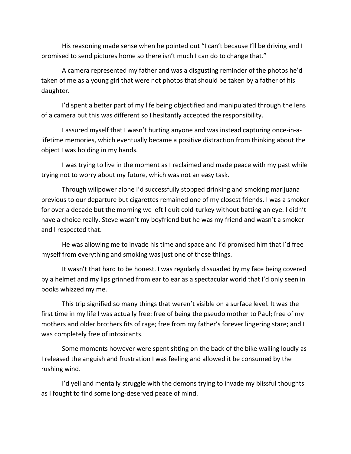His reasoning made sense when he pointed out "I can't because I'll be driving and I promised to send pictures home so there isn't much I can do to change that."

A camera represented my father and was a disgusting reminder of the photos he'd taken of me as a young girl that were not photos that should be taken by a father of his daughter.

I'd spent a better part of my life being objectified and manipulated through the lens of a camera but this was different so I hesitantly accepted the responsibility.

I assured myself that I wasn't hurting anyone and was instead capturing once-in-alifetime memories, which eventually became a positive distraction from thinking about the object I was holding in my hands.

I was trying to live in the moment as I reclaimed and made peace with my past while trying not to worry about my future, which was not an easy task.

Through willpower alone I'd successfully stopped drinking and smoking marijuana previous to our departure but cigarettes remained one of my closest friends. I was a smoker for over a decade but the morning we left I quit cold-turkey without batting an eye. I didn't have a choice really. Steve wasn't my boyfriend but he was my friend and wasn't a smoker and I respected that.

He was allowing me to invade his time and space and I'd promised him that I'd free myself from everything and smoking was just one of those things.

It wasn't that hard to be honest. I was regularly dissuaded by my face being covered by a helmet and my lips grinned from ear to ear as a spectacular world that I'd only seen in books whizzed my me.

This trip signified so many things that weren't visible on a surface level. It was the first time in my life I was actually free: free of being the pseudo mother to Paul; free of my mothers and older brothers fits of rage; free from my father's forever lingering stare; and I was completely free of intoxicants.

Some moments however were spent sitting on the back of the bike wailing loudly as I released the anguish and frustration I was feeling and allowed it be consumed by the rushing wind.

I'd yell and mentally struggle with the demons trying to invade my blissful thoughts as I fought to find some long-deserved peace of mind.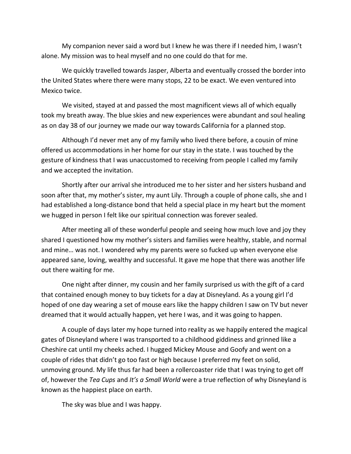My companion never said a word but I knew he was there if I needed him, I wasn't alone. My mission was to heal myself and no one could do that for me.

We quickly travelled towards Jasper, Alberta and eventually crossed the border into the United States where there were many stops, 22 to be exact. We even ventured into Mexico twice.

We visited, stayed at and passed the most magnificent views all of which equally took my breath away. The blue skies and new experiences were abundant and soul healing as on day 38 of our journey we made our way towards California for a planned stop.

Although I'd never met any of my family who lived there before, a cousin of mine offered us accommodations in her home for our stay in the state. I was touched by the gesture of kindness that I was unaccustomed to receiving from people I called my family and we accepted the invitation.

Shortly after our arrival she introduced me to her sister and her sisters husband and soon after that, my mother's sister, my aunt Lily. Through a couple of phone calls, she and I had established a long-distance bond that held a special place in my heart but the moment we hugged in person I felt like our spiritual connection was forever sealed.

After meeting all of these wonderful people and seeing how much love and joy they shared I questioned how my mother's sisters and families were healthy, stable, and normal and mine… was not. I wondered why my parents were so fucked up when everyone else appeared sane, loving, wealthy and successful. It gave me hope that there was another life out there waiting for me.

One night after dinner, my cousin and her family surprised us with the gift of a card that contained enough money to buy tickets for a day at Disneyland. As a young girl I'd hoped of one day wearing a set of mouse ears like the happy children I saw on TV but never dreamed that it would actually happen, yet here I was, and it was going to happen.

A couple of days later my hope turned into reality as we happily entered the magical gates of Disneyland where I was transported to a childhood giddiness and grinned like a Cheshire cat until my cheeks ached. I hugged Mickey Mouse and Goofy and went on a couple of rides that didn't go too fast or high because I preferred my feet on solid, unmoving ground. My life thus far had been a rollercoaster ride that I was trying to get off of, however the *Tea Cups* and *It's a Small World* were a true reflection of why Disneyland is known as the happiest place on earth.

The sky was blue and I was happy.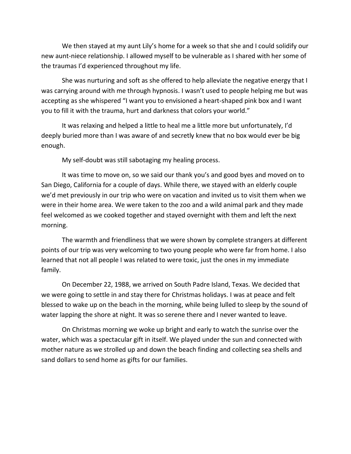We then stayed at my aunt Lily's home for a week so that she and I could solidify our new aunt-niece relationship. I allowed myself to be vulnerable as I shared with her some of the traumas I'd experienced throughout my life.

She was nurturing and soft as she offered to help alleviate the negative energy that I was carrying around with me through hypnosis. I wasn't used to people helping me but was accepting as she whispered "I want you to envisioned a heart-shaped pink box and I want you to fill it with the trauma, hurt and darkness that colors your world."

It was relaxing and helped a little to heal me a little more but unfortunately, I'd deeply buried more than I was aware of and secretly knew that no box would ever be big enough.

My self-doubt was still sabotaging my healing process.

It was time to move on, so we said our thank you's and good byes and moved on to San Diego, California for a couple of days. While there, we stayed with an elderly couple we'd met previously in our trip who were on vacation and invited us to visit them when we were in their home area. We were taken to the zoo and a wild animal park and they made feel welcomed as we cooked together and stayed overnight with them and left the next morning.

The warmth and friendliness that we were shown by complete strangers at different points of our trip was very welcoming to two young people who were far from home. I also learned that not all people I was related to were toxic, just the ones in my immediate family.

On December 22, 1988, we arrived on South Padre Island, Texas. We decided that we were going to settle in and stay there for Christmas holidays. I was at peace and felt blessed to wake up on the beach in the morning, while being lulled to sleep by the sound of water lapping the shore at night. It was so serene there and I never wanted to leave.

On Christmas morning we woke up bright and early to watch the sunrise over the water, which was a spectacular gift in itself. We played under the sun and connected with mother nature as we strolled up and down the beach finding and collecting sea shells and sand dollars to send home as gifts for our families.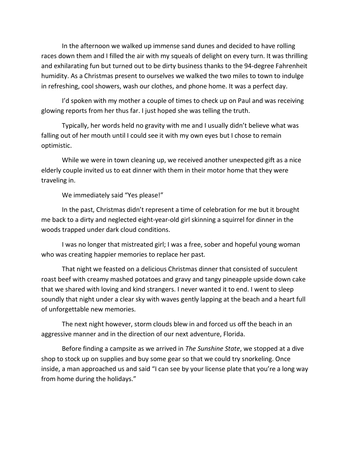In the afternoon we walked up immense sand dunes and decided to have rolling races down them and I filled the air with my squeals of delight on every turn. It was thrilling and exhilarating fun but turned out to be dirty business thanks to the 94-degree Fahrenheit humidity. As a Christmas present to ourselves we walked the two miles to town to indulge in refreshing, cool showers, wash our clothes, and phone home. It was a perfect day.

I'd spoken with my mother a couple of times to check up on Paul and was receiving glowing reports from her thus far. I just hoped she was telling the truth.

Typically, her words held no gravity with me and I usually didn't believe what was falling out of her mouth until I could see it with my own eyes but I chose to remain optimistic.

While we were in town cleaning up, we received another unexpected gift as a nice elderly couple invited us to eat dinner with them in their motor home that they were traveling in.

We immediately said "Yes please!"

In the past, Christmas didn't represent a time of celebration for me but it brought me back to a dirty and neglected eight-year-old girl skinning a squirrel for dinner in the woods trapped under dark cloud conditions.

I was no longer that mistreated girl; I was a free, sober and hopeful young woman who was creating happier memories to replace her past.

That night we feasted on a delicious Christmas dinner that consisted of succulent roast beef with creamy mashed potatoes and gravy and tangy pineapple upside down cake that we shared with loving and kind strangers. I never wanted it to end. I went to sleep soundly that night under a clear sky with waves gently lapping at the beach and a heart full of unforgettable new memories.

The next night however, storm clouds blew in and forced us off the beach in an aggressive manner and in the direction of our next adventure, Florida.

Before finding a campsite as we arrived in *The Sunshine State*, we stopped at a dive shop to stock up on supplies and buy some gear so that we could try snorkeling. Once inside, a man approached us and said "I can see by your license plate that you're a long way from home during the holidays."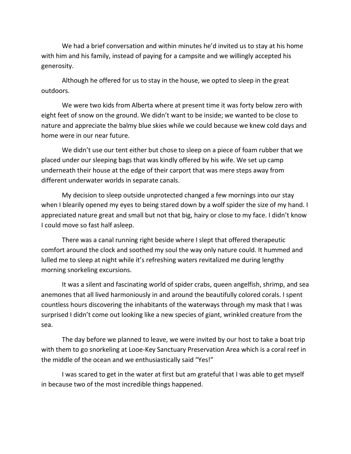We had a brief conversation and within minutes he'd invited us to stay at his home with him and his family, instead of paying for a campsite and we willingly accepted his generosity.

Although he offered for us to stay in the house, we opted to sleep in the great outdoors.

We were two kids from Alberta where at present time it was forty below zero with eight feet of snow on the ground. We didn't want to be inside; we wanted to be close to nature and appreciate the balmy blue skies while we could because we knew cold days and home were in our near future.

We didn't use our tent either but chose to sleep on a piece of foam rubber that we placed under our sleeping bags that was kindly offered by his wife. We set up camp underneath their house at the edge of their carport that was mere steps away from different underwater worlds in separate canals.

My decision to sleep outside unprotected changed a few mornings into our stay when I blearily opened my eyes to being stared down by a wolf spider the size of my hand. I appreciated nature great and small but not that big, hairy or close to my face. I didn't know I could move so fast half asleep.

There was a canal running right beside where I slept that offered therapeutic comfort around the clock and soothed my soul the way only nature could. It hummed and lulled me to sleep at night while it's refreshing waters revitalized me during lengthy morning snorkeling excursions.

It was a silent and fascinating world of spider crabs, queen angelfish, shrimp, and sea anemones that all lived harmoniously in and around the beautifully colored corals. I spent countless hours discovering the inhabitants of the waterways through my mask that I was surprised I didn't come out looking like a new species of giant, wrinkled creature from the sea.

The day before we planned to leave, we were invited by our host to take a boat trip with them to go snorkeling at Looe-Key Sanctuary Preservation Area which is a coral reef in the middle of the ocean and we enthusiastically said "Yes!"

I was scared to get in the water at first but am grateful that I was able to get myself in because two of the most incredible things happened.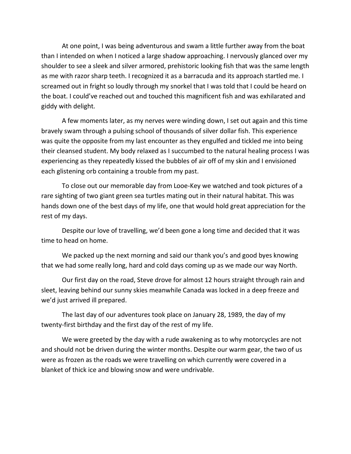At one point, I was being adventurous and swam a little further away from the boat than I intended on when I noticed a large shadow approaching. I nervously glanced over my shoulder to see a sleek and silver armored, prehistoric looking fish that was the same length as me with razor sharp teeth. I recognized it as a barracuda and its approach startled me. I screamed out in fright so loudly through my snorkel that I was told that I could be heard on the boat. I could've reached out and touched this magnificent fish and was exhilarated and giddy with delight.

A few moments later, as my nerves were winding down, I set out again and this time bravely swam through a pulsing school of thousands of silver dollar fish. This experience was quite the opposite from my last encounter as they engulfed and tickled me into being their cleansed student. My body relaxed as I succumbed to the natural healing process I was experiencing as they repeatedly kissed the bubbles of air off of my skin and I envisioned each glistening orb containing a trouble from my past.

To close out our memorable day from Looe-Key we watched and took pictures of a rare sighting of two giant green sea turtles mating out in their natural habitat. This was hands down one of the best days of my life, one that would hold great appreciation for the rest of my days.

Despite our love of travelling, we'd been gone a long time and decided that it was time to head on home.

We packed up the next morning and said our thank you's and good byes knowing that we had some really long, hard and cold days coming up as we made our way North.

Our first day on the road, Steve drove for almost 12 hours straight through rain and sleet, leaving behind our sunny skies meanwhile Canada was locked in a deep freeze and we'd just arrived ill prepared.

The last day of our adventures took place on January 28, 1989, the day of my twenty-first birthday and the first day of the rest of my life.

We were greeted by the day with a rude awakening as to why motorcycles are not and should not be driven during the winter months. Despite our warm gear, the two of us were as frozen as the roads we were travelling on which currently were covered in a blanket of thick ice and blowing snow and were undrivable.